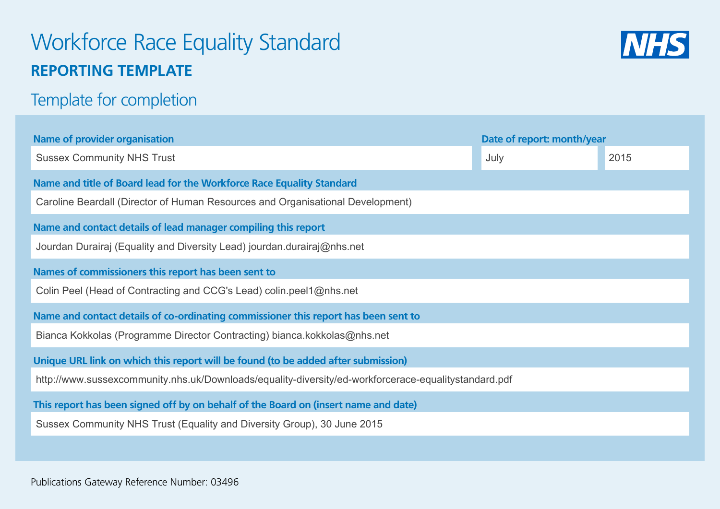# Workforce Race Equality Standard **REPORTING TEMPLATE**



## Template for completion

| <b>Name of provider organisation</b>                                                                 | Date of report: month/year |      |  |  |  |  |  |  |
|------------------------------------------------------------------------------------------------------|----------------------------|------|--|--|--|--|--|--|
| <b>Sussex Community NHS Trust</b>                                                                    | July                       | 2015 |  |  |  |  |  |  |
| Name and title of Board lead for the Workforce Race Equality Standard                                |                            |      |  |  |  |  |  |  |
| Caroline Beardall (Director of Human Resources and Organisational Development)                       |                            |      |  |  |  |  |  |  |
| Name and contact details of lead manager compiling this report                                       |                            |      |  |  |  |  |  |  |
| Jourdan Durairaj (Equality and Diversity Lead) jourdan.durairaj@nhs.net                              |                            |      |  |  |  |  |  |  |
| Names of commissioners this report has been sent to                                                  |                            |      |  |  |  |  |  |  |
| Colin Peel (Head of Contracting and CCG's Lead) colin.peel1@nhs.net                                  |                            |      |  |  |  |  |  |  |
| Name and contact details of co-ordinating commissioner this report has been sent to                  |                            |      |  |  |  |  |  |  |
| Bianca Kokkolas (Programme Director Contracting) bianca.kokkolas@nhs.net                             |                            |      |  |  |  |  |  |  |
| Unique URL link on which this report will be found (to be added after submission)                    |                            |      |  |  |  |  |  |  |
| http://www.sussexcommunity.nhs.uk/Downloads/equality-diversity/ed-workforcerace-equalitystandard.pdf |                            |      |  |  |  |  |  |  |
| This report has been signed off by on behalf of the Board on (insert name and date)                  |                            |      |  |  |  |  |  |  |
| Sussex Community NHS Trust (Equality and Diversity Group), 30 June 2015                              |                            |      |  |  |  |  |  |  |
|                                                                                                      |                            |      |  |  |  |  |  |  |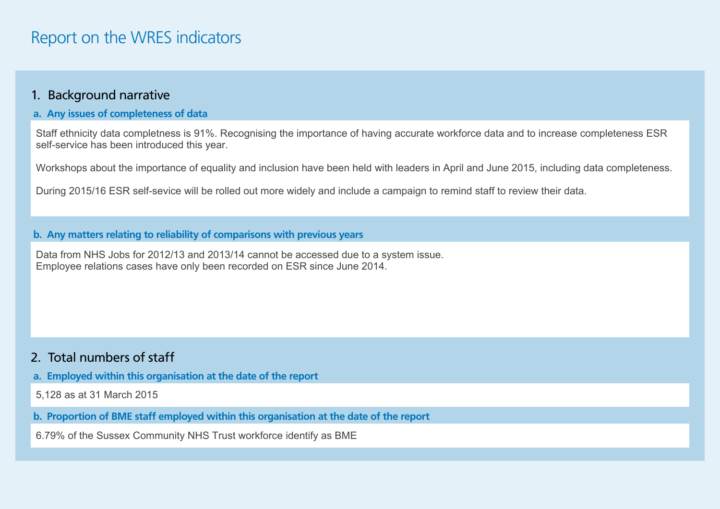## Report on the WRES indicators

#### 1. Background narrative

#### **a. Any issues of completeness of data**

Staff ethnicity data completness is 91%. Recognising the importance of having accurate workforce data and to increase completeness ESR self-service has been introduced this year.

Workshops about the importance of equality and inclusion have been held with leaders in April and June 2015, including data completeness.

During 2015/16 ESR self-sevice will be rolled out more widely and include a campaign to remind staff to review their data.

#### **b. Any matters relating to reliability of comparisons with previous years**

Data from NHS Jobs for 2012/13 and 2013/14 cannot be accessed due to a system issue. Employee relations cases have only been recorded on ESR since June 2014.

#### 2. Total numbers of staff

- **a. Employed within this organisation at the date of the report**
- 5,128 as at 31 March 2015
- **b. Proportion of BME staff employed within this organisation at the date of the report**

6.79% of the Sussex Community NHS Trust workforce identify as BME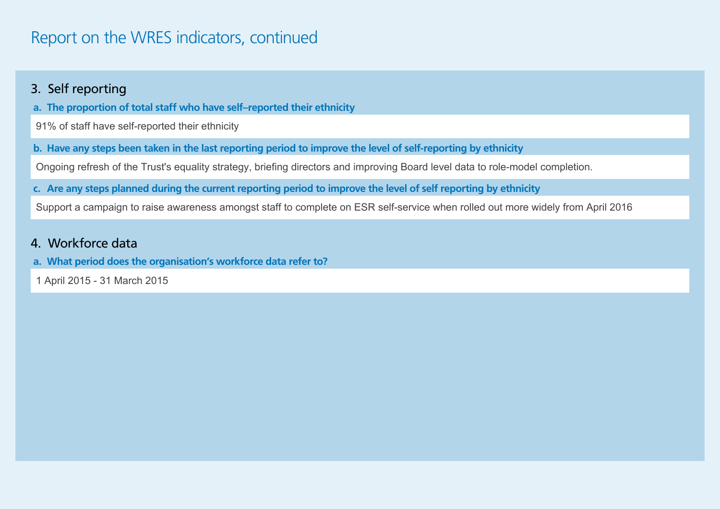## Report on the WRES indicators, continued

### 3. Self reporting

**a. The proportion of total staff who have self–reported their ethnicity** 

**b. Have any steps been taken in the last reporting period to improve the level of self-reporting by ethnicity** 

**c. Are any steps planned during the current reporting period to improve the level of self reporting by ethnicity**

91% of staff have self-reported their ethnicity<br>9. Have any steps been taken in the last reporting period to improve the level of self-reporting by ethnicity<br>Ongoing refresh of the Trust's equality strategy, briefing direc

#### 4. Workforce data

**a. What period does the organisation's workforce data refer to?**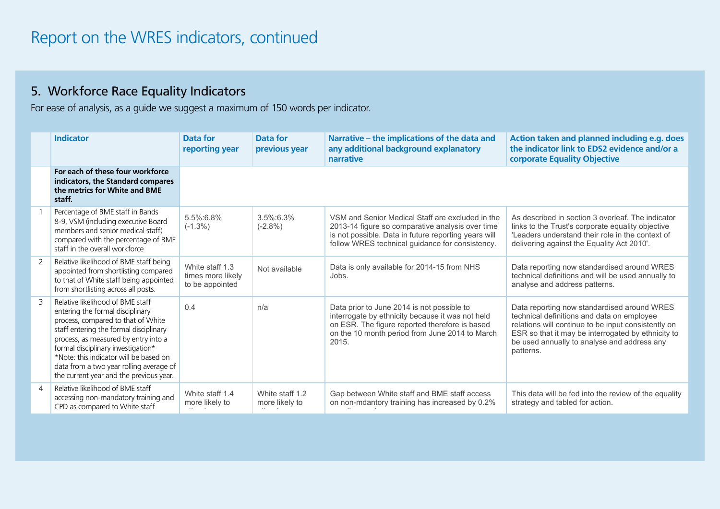### 5. Workforce Race Equality Indicators

For ease of analysis, as a guide we suggest a maximum of 150 words per indicator.

|                | <b>Indicator</b>                                                                                                                                                                                                                                                                                                                                                   | Data for<br>reporting year                              | Data for<br>previous year         | Narrative – the implications of the data and<br>any additional background explanatory<br>narrative                                                                                                              | Action taken and planned including e.g. does<br>the indicator link to EDS2 evidence and/or a<br>corporate Equality Objective                                                                                                                                       |
|----------------|--------------------------------------------------------------------------------------------------------------------------------------------------------------------------------------------------------------------------------------------------------------------------------------------------------------------------------------------------------------------|---------------------------------------------------------|-----------------------------------|-----------------------------------------------------------------------------------------------------------------------------------------------------------------------------------------------------------------|--------------------------------------------------------------------------------------------------------------------------------------------------------------------------------------------------------------------------------------------------------------------|
|                | For each of these four workforce<br>indicators, the Standard compares<br>the metrics for White and BME<br>staff.                                                                                                                                                                                                                                                   |                                                         |                                   |                                                                                                                                                                                                                 |                                                                                                                                                                                                                                                                    |
|                | Percentage of BME staff in Bands<br>8-9, VSM (including executive Board<br>members and senior medical staff)<br>compared with the percentage of BME<br>staff in the overall workforce                                                                                                                                                                              | 5.5%:6.8%<br>$(-1.3\%)$                                 | 3.5%:6.3%<br>$(-2.8%)$            | VSM and Senior Medical Staff are excluded in the<br>2013-14 figure so comparative analysis over time<br>is not possible. Data in future reporting years will<br>follow WRES technical guidance for consistency. | As described in section 3 overleaf. The indicator<br>links to the Trust's corporate equality objective<br>'Leaders understand their role in the context of<br>delivering against the Equality Act 2010'.                                                           |
| 2              | Relative likelihood of BME staff being<br>appointed from shortlisting compared<br>to that of White staff being appointed<br>from shortlisting across all posts.                                                                                                                                                                                                    | White staff 1.3<br>times more likely<br>to be appointed | Not available                     | Data is only available for 2014-15 from NHS<br>Jobs.                                                                                                                                                            | Data reporting now standardised around WRES<br>technical definitions and will be used annually to<br>analyse and address patterns.                                                                                                                                 |
| $\overline{3}$ | Relative likelihood of BME staff<br>entering the formal disciplinary<br>process, compared to that of White<br>staff entering the formal disciplinary<br>process, as measured by entry into a<br>formal disciplinary investigation*<br>*Note: this indicator will be based on<br>data from a two year rolling average of<br>the current year and the previous year. | 0.4                                                     | n/a                               | Data prior to June 2014 is not possible to<br>interrogate by ethnicity because it was not held<br>on ESR. The figure reported therefore is based<br>on the 10 month period from June 2014 to March<br>2015.     | Data reporting now standardised around WRES<br>technical definitions and data on employee<br>relations will continue to be input consistently on<br>ESR so that it may be interrogated by ethnicity to<br>be used annually to analyse and address any<br>patterns. |
| $\overline{4}$ | Relative likelihood of BME staff<br>accessing non-mandatory training and<br>CPD as compared to White staff                                                                                                                                                                                                                                                         | White staff 1.4<br>more likely to                       | White staff 1.2<br>more likely to | Gap between White staff and BME staff access<br>on non-mdantory training has increased by 0.2%                                                                                                                  | This data will be fed into the review of the equality<br>strategy and tabled for action.                                                                                                                                                                           |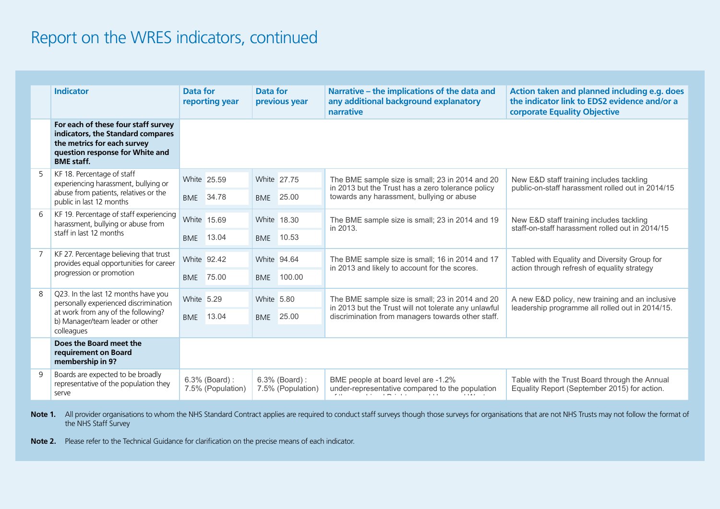## Report on the WRES indicators, continued

|                | <b>Indicator</b>                                                                                                                                                    | <b>Data for</b><br>reporting year |                                    | <b>Data for</b><br>previous year   |        | Narrative - the implications of the data and<br>any additional background explanatory<br>narrative                                                           | Action taken and planned including e.g. does<br>the indicator link to EDS2 evidence and/or a<br>corporate Equality Objective |
|----------------|---------------------------------------------------------------------------------------------------------------------------------------------------------------------|-----------------------------------|------------------------------------|------------------------------------|--------|--------------------------------------------------------------------------------------------------------------------------------------------------------------|------------------------------------------------------------------------------------------------------------------------------|
|                | For each of these four staff survey<br>indicators, the Standard compares<br>the metrics for each survey<br>question response for White and<br><b>BME</b> staff.     |                                   |                                    |                                    |        |                                                                                                                                                              |                                                                                                                              |
| $5^{\circ}$    | KF 18. Percentage of staff<br>experiencing harassment, bullying or<br>abuse from patients, relatives or the<br>public in last 12 months                             |                                   | White 25.59                        | White 27.75                        |        | The BME sample size is small; 23 in 2014 and 20<br>in 2013 but the Trust has a zero tolerance policy<br>towards any harassment, bullying or abuse            | New E&D staff training includes tackling<br>public-on-staff harassment rolled out in 2014/15                                 |
|                |                                                                                                                                                                     |                                   | BME 34.78                          | BME 25.00                          |        |                                                                                                                                                              |                                                                                                                              |
| 6              | KF 19. Percentage of staff experiencing<br>harassment, bullying or abuse from                                                                                       |                                   | White 15.69                        | White 18.30                        |        | The BME sample size is small; 23 in 2014 and 19                                                                                                              | New E&D staff training includes tackling                                                                                     |
|                | staff in last 12 months                                                                                                                                             | <b>BME</b>                        | 13.04                              | <b>BME</b>                         | 10.53  | in 2013.                                                                                                                                                     | staff-on-staff harassment rolled out in 2014/15                                                                              |
| $\overline{7}$ | KF 27. Percentage believing that trust<br>provides equal opportunities for career<br>progression or promotion                                                       |                                   | White 92.42                        | White 94.64                        |        | The BME sample size is small; 16 in 2014 and 17<br>in 2013 and likely to account for the scores.                                                             | Tabled with Equality and Diversity Group for<br>action through refresh of equality strategy                                  |
|                |                                                                                                                                                                     | <b>BME</b>                        | 75.00                              | <b>BME</b>                         | 100.00 |                                                                                                                                                              |                                                                                                                              |
| 8              | Q23. In the last 12 months have you<br>personally experienced discrimination<br>at work from any of the following?<br>b) Manager/team leader or other<br>colleagues | White 5.29                        |                                    | White 5.80                         |        | The BME sample size is small; 23 in 2014 and 20<br>in 2013 but the Trust will not tolerate any unlawful<br>discrimination from managers towards other staff. | A new E&D policy, new training and an inclusive<br>leadership programme all rolled out in 2014/15.                           |
|                |                                                                                                                                                                     | <b>BME</b>                        | 13.04                              | <b>BME</b>                         | 25.00  |                                                                                                                                                              |                                                                                                                              |
|                |                                                                                                                                                                     |                                   |                                    |                                    |        |                                                                                                                                                              |                                                                                                                              |
|                | Does the Board meet the<br>requirement on Board<br>membership in 9?                                                                                                 |                                   |                                    |                                    |        |                                                                                                                                                              |                                                                                                                              |
| 9              | Boards are expected to be broadly<br>representative of the population they<br>serve                                                                                 |                                   | 6.3% (Board):<br>7.5% (Population) | 6.3% (Board):<br>7.5% (Population) |        | BME people at board level are -1.2%<br>under-representative compared to the population                                                                       | Table with the Trust Board through the Annual<br>Equality Report (September 2015) for action.                                |

**Note 1.** All provider organisations to whom the NHS Standard Contract applies are required to conduct staff surveys though those surveys for organisations that are not NHS Trusts may not follow the format of the NHS Staff Survey

**Note 2.** Please refer to the Technical Guidance for clarification on the precise means of each indicator.